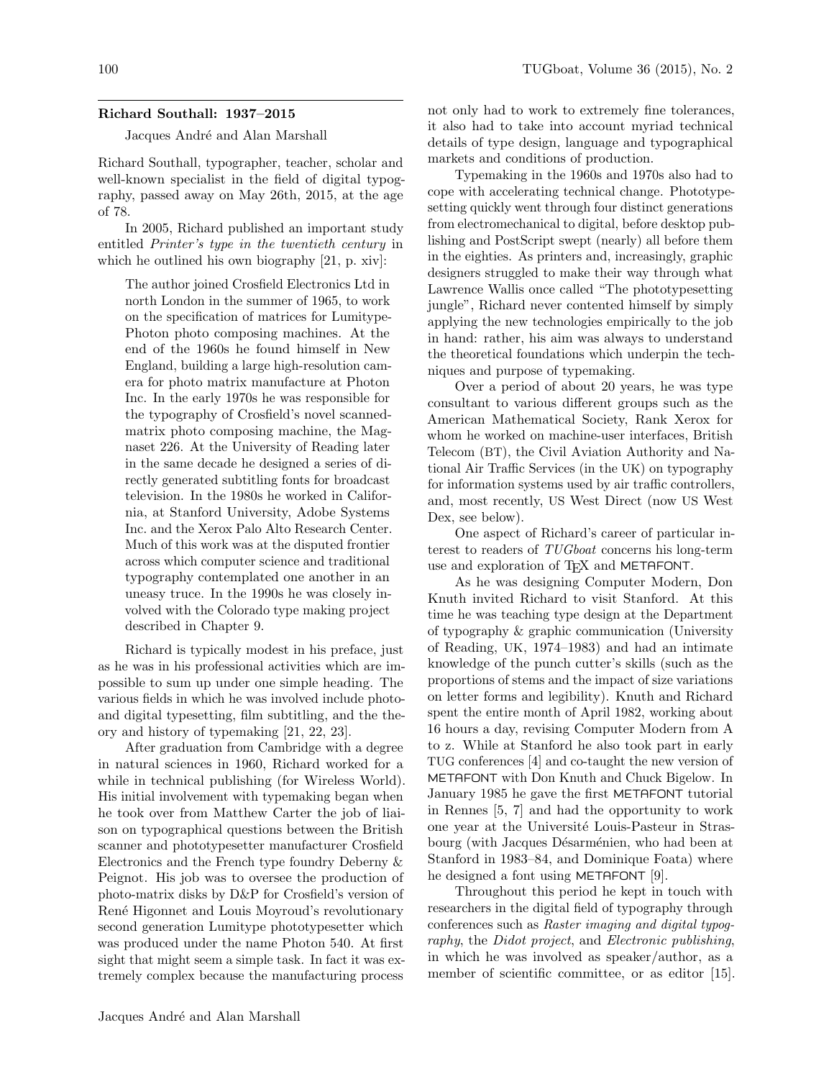## Richard Southall: 1937–2015

Jacques André and Alan Marshall

Richard Southall, typographer, teacher, scholar and well-known specialist in the field of digital typography, passed away on May 26th, 2015, at the age of 78.

In 2005, Richard published an important study entitled Printer's type in the twentieth century in which he outlined his own biography [21, p. xiv]:

The author joined Crosfield Electronics Ltd in north London in the summer of 1965, to work on the specification of matrices for Lumitype-Photon photo composing machines. At the end of the 1960s he found himself in New England, building a large high-resolution camera for photo matrix manufacture at Photon Inc. In the early 1970s he was responsible for the typography of Crosfield's novel scannedmatrix photo composing machine, the Magnaset 226. At the University of Reading later in the same decade he designed a series of directly generated subtitling fonts for broadcast television. In the 1980s he worked in California, at Stanford University, Adobe Systems Inc. and the Xerox Palo Alto Research Center. Much of this work was at the disputed frontier across which computer science and traditional typography contemplated one another in an uneasy truce. In the 1990s he was closely involved with the Colorado type making project described in Chapter 9.

Richard is typically modest in his preface, just as he was in his professional activities which are impossible to sum up under one simple heading. The various fields in which he was involved include photoand digital typesetting, film subtitling, and the theory and history of typemaking [21, 22, 23].

After graduation from Cambridge with a degree in natural sciences in 1960, Richard worked for a while in technical publishing (for Wireless World). His initial involvement with typemaking began when he took over from Matthew Carter the job of liaison on typographical questions between the British scanner and phototypesetter manufacturer Crosfield Electronics and the French type foundry Deberny & Peignot. His job was to oversee the production of photo-matrix disks by D&P for Crosfield's version of René Higonnet and Louis Moyroud's revolutionary second generation Lumitype phototypesetter which was produced under the name Photon 540. At first sight that might seem a simple task. In fact it was extremely complex because the manufacturing process

not only had to work to extremely fine tolerances, it also had to take into account myriad technical details of type design, language and typographical markets and conditions of production.

Typemaking in the 1960s and 1970s also had to cope with accelerating technical change. Phototypesetting quickly went through four distinct generations from electromechanical to digital, before desktop publishing and PostScript swept (nearly) all before them in the eighties. As printers and, increasingly, graphic designers struggled to make their way through what Lawrence Wallis once called "The phototypesetting jungle", Richard never contented himself by simply applying the new technologies empirically to the job in hand: rather, his aim was always to understand the theoretical foundations which underpin the techniques and purpose of typemaking.

Over a period of about 20 years, he was type consultant to various different groups such as the American Mathematical Society, Rank Xerox for whom he worked on machine-user interfaces, British Telecom (BT), the Civil Aviation Authority and National Air Traffic Services (in the UK) on typography for information systems used by air traffic controllers, and, most recently, US West Direct (now US West Dex, see below).

One aspect of Richard's career of particular interest to readers of TUGboat concerns his long-term use and exploration of TFX and METAFONT.

As he was designing Computer Modern, Don Knuth invited Richard to visit Stanford. At this time he was teaching type design at the Department of typography & graphic communication (University of Reading, UK, 1974–1983) and had an intimate knowledge of the punch cutter's skills (such as the proportions of stems and the impact of size variations on letter forms and legibility). Knuth and Richard spent the entire month of April 1982, working about 16 hours a day, revising Computer Modern from A to z. While at Stanford he also took part in early TUG conferences [4] and co-taught the new version of METAFONT with Don Knuth and Chuck Bigelow. In January 1985 he gave the first METAFONT tutorial in Rennes [5, 7] and had the opportunity to work one year at the Université Louis-Pasteur in Strasbourg (with Jacques Désarménien, who had been at Stanford in 1983–84, and Dominique Foata) where he designed a font using METAFONT [9].

Throughout this period he kept in touch with researchers in the digital field of typography through conferences such as Raster imaging and digital typography, the Didot project, and Electronic publishing, in which he was involved as speaker/author, as a member of scientific committee, or as editor [15].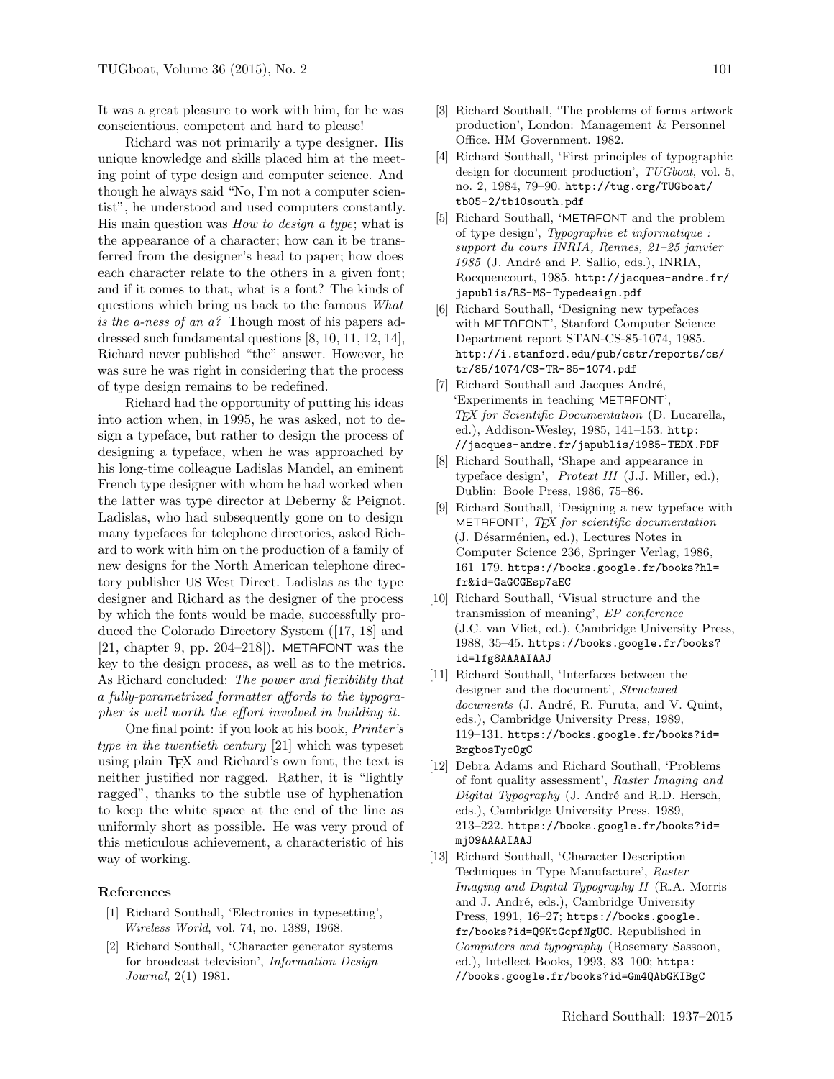It was a great pleasure to work with him, for he was conscientious, competent and hard to please!

Richard was not primarily a type designer. His unique knowledge and skills placed him at the meeting point of type design and computer science. And though he always said "No, I'm not a computer scientist", he understood and used computers constantly. His main question was How to design a type; what is the appearance of a character; how can it be transferred from the designer's head to paper; how does each character relate to the others in a given font; and if it comes to that, what is a font? The kinds of questions which bring us back to the famous What is the a-ness of an a? Though most of his papers addressed such fundamental questions [8, 10, 11, 12, 14], Richard never published "the" answer. However, he was sure he was right in considering that the process of type design remains to be redefined.

Richard had the opportunity of putting his ideas into action when, in 1995, he was asked, not to design a typeface, but rather to design the process of designing a typeface, when he was approached by his long-time colleague Ladislas Mandel, an eminent French type designer with whom he had worked when the latter was type director at Deberny & Peignot. Ladislas, who had subsequently gone on to design many typefaces for telephone directories, asked Richard to work with him on the production of a family of new designs for the North American telephone directory publisher US West Direct. Ladislas as the type designer and Richard as the designer of the process by which the fonts would be made, successfully produced the Colorado Directory System ([17, 18] and [21, chapter 9, pp. 204–218]). METAFONT was the key to the design process, as well as to the metrics. As Richard concluded: The power and flexibility that a fully-parametrized formatter affords to the typographer is well worth the effort involved in building it.

One final point: if you look at his book, Printer's type in the twentieth century [21] which was typeset using plain TEX and Richard's own font, the text is neither justified nor ragged. Rather, it is "lightly ragged", thanks to the subtle use of hyphenation to keep the white space at the end of the line as uniformly short as possible. He was very proud of this meticulous achievement, a characteristic of his way of working.

## References

- [1] Richard Southall, 'Electronics in typesetting', Wireless World, vol. 74, no. 1389, 1968.
- [2] Richard Southall, 'Character generator systems for broadcast television', Information Design Journal, 2(1) 1981.
- [3] Richard Southall, 'The problems of forms artwork production', London: Management & Personnel Office. HM Government. 1982.
- [4] Richard Southall, 'First principles of typographic design for document production',  $TUGboat$ , vol. 5, no. 2, 1984, 79–90. http://tug.org/TUGboat/ tb05-2/tb10south.pdf
- [5] Richard Southall, 'METAFONT and the problem of type design', Typographie et informatique : support du cours INRIA, Rennes, 21–25 janvier 1985 (J. André and P. Sallio, eds.), INRIA, Rocquencourt, 1985. http://jacques-andre.fr/ japublis/RS-MS-Typedesign.pdf
- [6] Richard Southall, 'Designing new typefaces with METAFONT', Stanford Computer Science Department report STAN-CS-85-1074, 1985. http://i.stanford.edu/pub/cstr/reports/cs/ tr/85/1074/CS-TR-85-1074.pdf
- [7] Richard Southall and Jacques André, 'Experiments in teaching METAFONT', TEX for Scientific Documentation (D. Lucarella, ed.), Addison-Wesley, 1985, 141–153. http: //jacques-andre.fr/japublis/1985-TEDX.PDF
- [8] Richard Southall, 'Shape and appearance in typeface design', Protext III (J.J. Miller, ed.), Dublin: Boole Press, 1986, 75–86.
- [9] Richard Southall, 'Designing a new typeface with METAFONT',  $T_F X$  for scientific documentation (J. Désarménien, ed.), Lectures Notes in Computer Science 236, Springer Verlag, 1986, 161–179. https://books.google.fr/books?hl= fr&id=GaGCGEsp7aEC
- [10] Richard Southall, 'Visual structure and the transmission of meaning', EP conference (J.C. van Vliet, ed.), Cambridge University Press, 1988, 35–45. https://books.google.fr/books? id=lfg8AAAAIAAJ
- [11] Richard Southall, 'Interfaces between the designer and the document', Structured documents (J. André, R. Furuta, and V. Quint, eds.), Cambridge University Press, 1989, 119–131. https://books.google.fr/books?id= BrgbosTycOgC
- [12] Debra Adams and Richard Southall, 'Problems of font quality assessment', Raster Imaging and Digital Typography (J. André and R.D. Hersch, eds.), Cambridge University Press, 1989, 213–222. https://books.google.fr/books?id= mj09AAAAIAAJ
- [13] Richard Southall, 'Character Description Techniques in Type Manufacture', Raster Imaging and Digital Typography II (R.A. Morris and J. André, eds.), Cambridge University Press, 1991, 16-27; https://books.google. fr/books?id=Q9KtGcpfNgUC. Republished in Computers and typography (Rosemary Sassoon, ed.), Intellect Books, 1993, 83–100; https: //books.google.fr/books?id=Gm4QAbGKIBgC